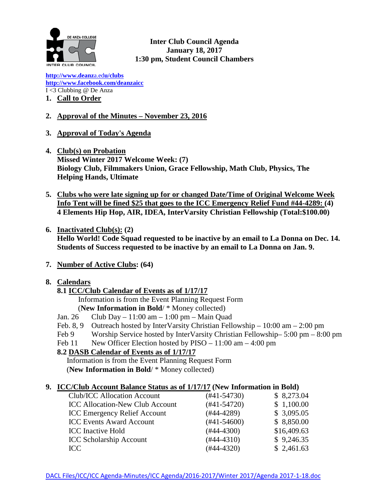

**Inter Club Council Agenda January 18, 2017 1:30 pm, Student Council Chambers** 

**[http://www.deanz](http://www.deanza.edu/clubs)**[a.ed](http://www.deanza.edu/clubs)**[u/clubs](http://www.deanza.edu/clubs) [http://www.facebook.com/deanzaicc](http://www.facebook.com/home.php#!/group.php?gid=59034552686)** I <3 Clubbing @ De Anza

## **1. Call to Order**

- **2. Approval of the Minutes – November 23, 2016**
- **3. Approval of Today's Agenda**
- **4. Club(s) on Probation Missed Winter 2017 Welcome Week: (7) Biology Club, Filmmakers Union, Grace Fellowship, Math Club, Physics, The Helping Hands, Ultimate**
- **5. Clubs who were late signing up for or changed Date/Time of Original Welcome Week Info Tent will be fined \$25 that goes to the ICC Emergency Relief Fund #44-4289: (4) 4 Elements Hip Hop, AIR, IDEA, InterVarsity Christian Fellowship (Total:\$100.00)**
- **6. Inactivated Club(s): (2) Hello World! Code Squad requested to be inactive by an email to La Donna on Dec. 14. Students of Success requested to be inactive by an email to La Donna on Jan. 9.**
- **7. Number of Active Clubs: (64)**
- **8. Calendars**
	- **8.1 ICC/Club Calendar of Events as of 1/17/17**

 Information is from the Event Planning Request Form (**New Information in Bold**/ \* Money collected)

- Jan. 26 Club Day 11:00 am 1:00 pm Main Quad
- Feb. 8, 9 Outreach hosted by InterVarsity Christian Fellowship 10:00 am 2:00 pm
- Feb 9 Worship Service hosted by InterVarsity Christian Fellowship– 5:00 pm 8:00 pm
- Feb 11 New Officer Election hosted by PISO 11:00 am 4:00 pm

# **8.2 DASB Calendar of Events as of 1/17/17**

Information is from the Event Planning Request Form (**New Information in Bold**/ \* Money collected)

## **9. ICC/Club Account Balance Status as of 1/17/17 (New Information in Bold)**

| <b>Club/ICC Allocation Account</b>     | $(#41-54730)$    | \$8,273.04  |
|----------------------------------------|------------------|-------------|
| <b>ICC Allocation-New Club Account</b> | $(#41-54720)$    | \$1,100.00  |
| <b>ICC Emergency Relief Account</b>    | $(#44-4289)$     | \$3,095.05  |
| <b>ICC Events Award Account</b>        | $(\#41 - 54600)$ | \$8,850.00  |
| <b>ICC</b> Inactive Hold               | $(#44-4300)$     | \$16,409.63 |
| <b>ICC Scholarship Account</b>         | $(#44-4310)$     | \$9,246.35  |
| ICC                                    | $(#44-4320)$     | \$2,461.63  |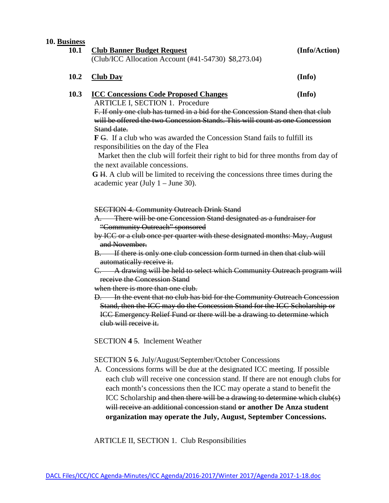#### **10. Business**

| <b>10.1</b> | <b>Club Banner Budget Request</b>                       |  |
|-------------|---------------------------------------------------------|--|
|             | (Club/ICC Allocation Account $(\#41-54730)$ \$8,273.04) |  |
|             |                                                         |  |

#### **10.3 ICC Concessions Code Proposed Changes (Info)**

ARTICLE I, SECTION 1. Procedure

F. If only one club has turned in a bid for the Concession Stand then that club will be offered the two Concession Stands. This will count as one Concession Stand date.

 **F** G. If a club who was awarded the Concession Stand fails to fulfill its responsibilities on the day of the Flea

 Market then the club will forfeit their right to bid for three months from day of the next available concessions.

 **G** H. A club will be limited to receiving the concessions three times during the academic year (July 1 – June 30).

#### SECTION 4. Community Outreach Drink Stand

A. There will be one Concession Stand designated as a fundraiser for "Community Outreach" sponsored

by ICC or a club once per quarter with these designated months: May, August and November.

B. If there is only one club concession form turned in then that club will automatically receive it.

C. A drawing will be held to select which Community Outreach program will receive the Concession Stand

when there is more than one club.

D. In the event that no club has bid for the Community Outreach Concession Stand, then the ICC may do the Concession Stand for the ICC Scholarship or ICC Emergency Relief Fund or there will be a drawing to determine which club will receive it.

SECTION **4** 5. Inclement Weather

SECTION **5** 6. July/August/September/October Concessions

A. Concessions forms will be due at the designated ICC meeting. If possible each club will receive one concession stand. If there are not enough clubs for each month's concessions then the ICC may operate a stand to benefit the ICC Scholarship and then there will be a drawing to determine which club(s) will receive an additional concession stand **or another De Anza student organization may operate the July, August, September Concessions.**

ARTICLE II, SECTION 1. Club Responsibilities

**10.1 (Info/Action)** 

**10.2 Club Day (Info)**